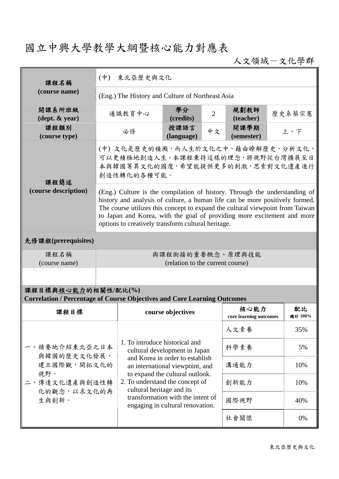## 國立中興大學教學大綱暨核心能力對應表

人文領域-文化學群

| 課程名稱                                                                                                   | (中) 東北亞歷史與文化                                                                                                                                                                                                                                                                                                                                                                 |                                                                                                                                                                          |                                   |      |                                |        |               |
|--------------------------------------------------------------------------------------------------------|------------------------------------------------------------------------------------------------------------------------------------------------------------------------------------------------------------------------------------------------------------------------------------------------------------------------------------------------------------------------------|--------------------------------------------------------------------------------------------------------------------------------------------------------------------------|-----------------------------------|------|--------------------------------|--------|---------------|
| (course name)                                                                                          | (Eng.) The History and Culture of Northeast Asia                                                                                                                                                                                                                                                                                                                             |                                                                                                                                                                          |                                   |      |                                |        |               |
| 開課系所班級<br>$(\text{dept.} \& \text{ year})$                                                             |                                                                                                                                                                                                                                                                                                                                                                              | 通識教育中心                                                                                                                                                                   | 學分<br>$\overline{2}$<br>(credits) |      | 規劃教師<br>(teacher)              | 歷史系蔡宗憲 |               |
| 課程類別<br>(course type)                                                                                  | 必修                                                                                                                                                                                                                                                                                                                                                                           |                                                                                                                                                                          | 授課語言<br>(language)                | 中文   | 開課學期<br>上、下<br>(semester)      |        |               |
| 課程簡述<br>(course description)                                                                           | (中) 文化是歷史的積澱,而人生於文化之中,藉由瞭解歷史,分析文化,<br>可以更積極地創造人生。本課程秉持這樣的理念,將視野從台灣擴展至日<br>本與韓國等異文化的國度,希望能提供更多的刺激,思索對文化遺產進行<br>創造性轉化的各種可能。                                                                                                                                                                                                                                                    |                                                                                                                                                                          |                                   |      |                                |        |               |
|                                                                                                        | (Eng.) Culture is the compilation of history. Through the understanding of<br>history and analysis of culture, a human life can be more positively formed.<br>The course utilizes this concept to expand the cultural viewpoint from Taiwan<br>to Japan and Korea, with the goal of providing more excitement and more<br>options to creatively transform cultural heritage. |                                                                                                                                                                          |                                   |      |                                |        |               |
| 先修課程(prerequisites)                                                                                    |                                                                                                                                                                                                                                                                                                                                                                              |                                                                                                                                                                          |                                   |      |                                |        |               |
| 課程名稱<br>(course name)                                                                                  | 與課程銜接的重要概念、原理與技能<br>(relation to the current course)                                                                                                                                                                                                                                                                                                                         |                                                                                                                                                                          |                                   |      |                                |        |               |
|                                                                                                        |                                                                                                                                                                                                                                                                                                                                                                              |                                                                                                                                                                          |                                   |      |                                |        |               |
| 課程目標與核心能力的相關性/配比(%)<br><b>Correlation / Percentage of Course Objectives and Core Learning Outcomes</b> |                                                                                                                                                                                                                                                                                                                                                                              |                                                                                                                                                                          |                                   |      |                                |        |               |
| 課程目標                                                                                                   |                                                                                                                                                                                                                                                                                                                                                                              |                                                                                                                                                                          | course objectives                 |      | 核心能力<br>core learning outcomes |        | 配比<br>總計 100% |
| 一、精要地介紹東北亞之日本<br>與韓國的歷史文化發展,<br>建立國際觀,開拓文化的<br>視野。<br>二、傳達文化遺產與創造性轉<br>化的觀念,以求文化的再<br>生與創新。            |                                                                                                                                                                                                                                                                                                                                                                              | 1. To introduce historical and<br>cultural development in Japan<br>and Korea in order to establish<br>an international viewpoint, and                                    |                                   |      | 人文素養                           |        | 35%           |
|                                                                                                        |                                                                                                                                                                                                                                                                                                                                                                              |                                                                                                                                                                          |                                   |      | 科學素養                           |        | 5%            |
|                                                                                                        |                                                                                                                                                                                                                                                                                                                                                                              |                                                                                                                                                                          |                                   |      | 溝通能力                           |        | 10%           |
|                                                                                                        |                                                                                                                                                                                                                                                                                                                                                                              | to expand the cultural outlook.<br>2. To understand the concept of<br>cultural heritage and its<br>transformation with the intent of<br>engaging in cultural renovation. |                                   |      | 創新能力                           |        | 10%           |
|                                                                                                        |                                                                                                                                                                                                                                                                                                                                                                              |                                                                                                                                                                          |                                   |      | 國際視野                           |        | 40%           |
|                                                                                                        |                                                                                                                                                                                                                                                                                                                                                                              |                                                                                                                                                                          |                                   | 社會關懷 |                                | 0%     |               |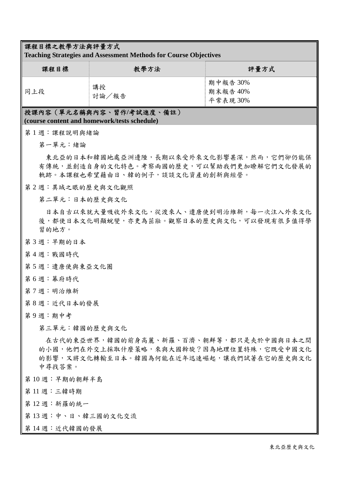## 課程目標之教學方法與評量方式

**Teaching Strategies and Assessment Methods for Course Objectives** 

| 課程目標 | 教學方法        | 評量方式                            |
|------|-------------|---------------------------------|
| 同上段  | 講授<br>討論/報告 | 期中報告 30%<br>期末報告 40%<br>平常表現30% |

## 授課內容(單元名稱與內容、習作**/**考試進度、備註) **(course content and homework/tests schedule)**

- 第 1 週:課程說明與緒論
	- 第一單元:緒論

東北亞的日本和韓國地處亞洲邊陲,長期以來受外來文化影響甚深,然而,它們卻仍能保 有傳統,並創造自身的文化特色。考察兩國的歷史,可以幫助我們更加瞭解它們文化發展的 軌跡。本課程也希望藉由日、韓的例子,談談文化資產的創新與經營。

第 2 週: 異域之眼的歷史與文化觀照

第二單元:日本的歷史與文化

日本自古以來就大量吸收外來文化,從渡來人、遣唐使到明治維新,每一次注入外來文化 後,都使日本文化明顯蛻變,亦更為茁壯。觀察日本的歷史與文化,可以發現有很多值得學 習的地方。

- 第 3 週:早期的日本
- 第 4 週:戰國時代
- 第5週:遣唐使與東亞文化圈
- 第 6 週:幕府時代
- 第 7 週:明治維新
- 第8週:近代日本的發展
- 第 9 週:期中考

第三單元:韓國的歷史與文化

在古代的東亞世界,韓國的前身高麗、新羅、百濟、朝鮮等,都只是夾於中國與日本之間 的小國,他們在外交上採取什麼策略,來與大國斡旋?因為地理位置特殊,它既受中國文化 的影響,又將文化轉輸至日本。韓國為何能在近年迅速崛起,讓我們試著在它的歷史與文化 中尋找答案。

- 第 10 週:早期的朝鮮半島
- 第 11 週:三韓時期
- 第 12 週:新羅的統一
- 第13週:中、日、韓三國的文化交流
- 第14週:近代韓國的發展